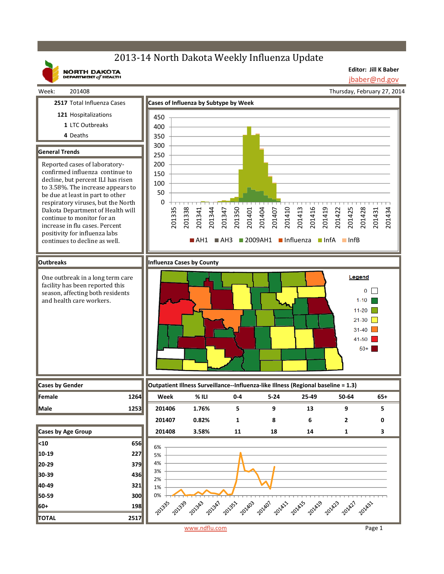# 2013-14 North Dakota Weekly Influenza Update

**2517** Total Influenza Cases **Cases of Influenza by Subtype by Week**



Week: 201408

**Editor: Jill K Baber** jbaber@nd.gov

Thursday, February 27, 2014

**121** Hospitalizations 450 **1** LTC Outbreaks 400 **4** Deaths 350 300 **General Trends** 250 Reported cases of laboratory-200 confirmed influenza continue to 150 decline, but percent ILI has risen 100 to 3.58%. The increase appears to 50 be due at least in part to other  $\Omega$ respiratory viruses, but the North 201335 201338 201341 201344 201347 201350 201404 201407 201410 201413 201416 201419 201422 201425 201428 201434 Dakota Department of Health will 201401 201431 continue to monitor for an increase in flu cases. Percent positivity for influenza labs  $A$ H1  $A$ H3 2009AH1 Influenza InfA InfB continues to decline as well. **Outbreaks Influenza Cases by County** One outbreak in a long term care Legend facility has been reported this  $0$   $\Box$ season, affecting both residents and health care workers.  $1-10$  $11-20$  $21-30$  $31-40$  $41 - 50$  $50+$ **Cases by Gender Outpatient Illness Surveillance‐‐Influenza‐like Illness (Regional baseline = 1.3) Female 1264 Week % ILI 0‐4 5‐24 25‐49 50‐64 65+ Male 1253 201406 1.76% 5 9 13 9 5 201407 0.82% 1 8 6 2 0 Cases by Age Group 201408 3.58% 11 18 14 1 3 <10 656** 6% **10‐19 227** 5% 4% **20‐29 379** 3% **30‐39 436** 2% **40‐49 321** 1% **50‐59 300** 0% + 201343 201339 201431 **60+ 198 TOTAL 2517** www.ndflu.com Page 1